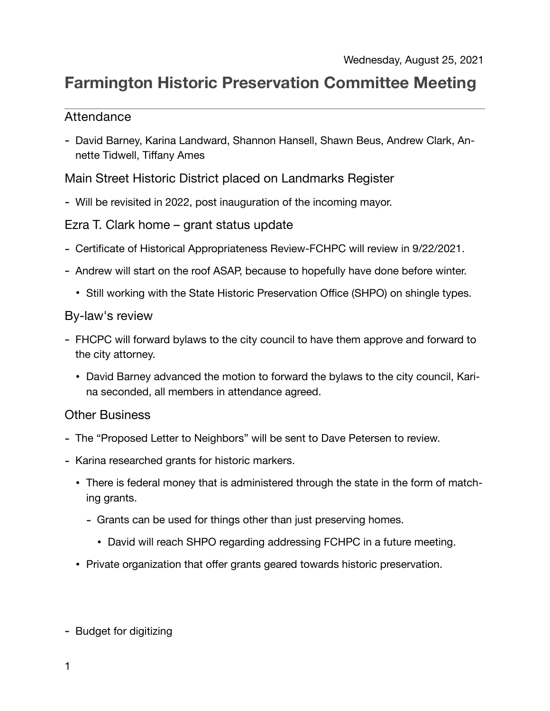## **Farmington Historic Preservation Committee Meeting**

## Attendance

- David Barney, Karina Landward, Shannon Hansell, Shawn Beus, Andrew Clark, Annette Tidwell, Tiffany Ames

Main Street Historic District placed on Landmarks Register

- Will be revisited in 2022, post inauguration of the incoming mayor.

Ezra T. Clark home – grant status update

- Certificate of Historical Appropriateness Review-FCHPC will review in 9/22/2021.
- Andrew will start on the roof ASAP, because to hopefully have done before winter.
	- Still working with the State Historic Preservation Office (SHPO) on shingle types.

## By-law's review

- FHCPC will forward bylaws to the city council to have them approve and forward to the city attorney.
	- David Barney advanced the motion to forward the bylaws to the city council, Karina seconded, all members in attendance agreed.

## Other Business

- The "Proposed Letter to Neighbors" will be sent to Dave Petersen to review.
- Karina researched grants for historic markers.
	- There is federal money that is administered through the state in the form of matching grants.
		- Grants can be used for things other than just preserving homes.
			- David will reach SHPO regarding addressing FCHPC in a future meeting.
	- Private organization that offer grants geared towards historic preservation.

- Budget for digitizing